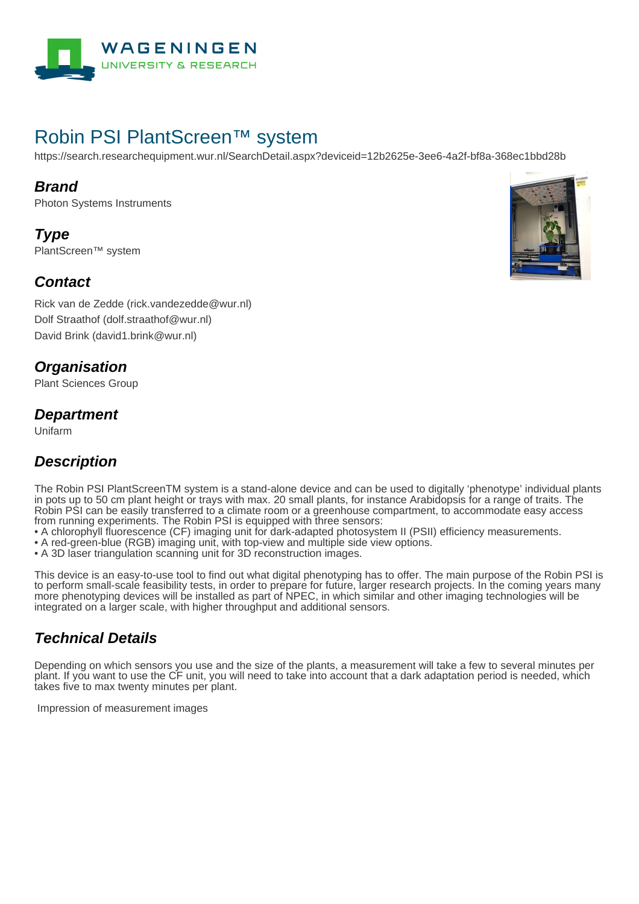

# Robin PSI PlantScreen™ system

https://search.researchequipment.wur.nl/SearchDetail.aspx?deviceid=12b2625e-3ee6-4a2f-bf8a-368ec1bbd28b

#### **Brand**

Photon Systems Instruments

**Type** PlantScreen™ system

### **Contact**

Rick van de Zedde (rick.vandezedde@wur.nl) Dolf Straathof (dolf.straathof@wur.nl) David Brink (david1.brink@wur.nl)

### **Organisation**

Plant Sciences Group

#### **Department**

Unifarm

## **Description**

The Robin PSI PlantScreenTM system is a stand-alone device and can be used to digitally 'phenotype' individual plants in pots up to 50 cm plant height or trays with max. 20 small plants, for instance Arabidopsis for a range of traits. The Robin PSI can be easily transferred to a climate room or a greenhouse compartment, to accommodate easy access from running experiments. The Robin PSI is equipped with three sensors:

• A chlorophyll fluorescence (CF) imaging unit for dark-adapted photosystem II (PSII) efficiency measurements.

- A red-green-blue (RGB) imaging unit, with top-view and multiple side view options.
- A 3D laser triangulation scanning unit for 3D reconstruction images.

This device is an easy-to-use tool to find out what digital phenotyping has to offer. The main purpose of the Robin PSI is to perform small-scale feasibility tests, in order to prepare for future, larger research projects. In the coming years many more phenotyping devices will be installed as part of NPEC, in which similar and other imaging technologies will be integrated on a larger scale, with higher throughput and additional sensors.

## **Technical Details**

Depending on which sensors you use and the size of the plants, a measurement will take a few to several minutes per plant. If you want to use the CF unit, you will need to take into account that a dark adaptation period is needed, which takes five to max twenty minutes per plant.

Impression of measurement images